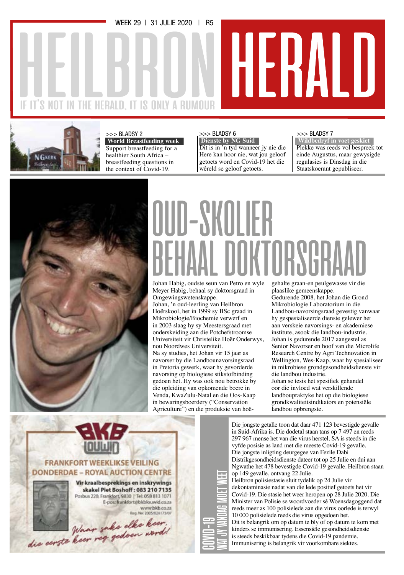WEEK 29 | 31 JULIE 2020 | R5

### IT'S NOT IN THE HERALD, IT IS ONLY A RUMOUR



>>> BLADSY 2

 **World Breastfeeding week** Support breastfeeding for a healthier South Africa – breastfeeding questions in the context of Covid-19.

### >>> BLADSY 6

 **Dienste by NG Suid**

Dit is in 'n tyd wanneer jy nie die Here kan hoor nie, wat jou geloof getoets word en Covid-19 het die wêreld se geloof getoets.

### >>> BLADSY 7

HERALD

 **Wildbedryf in voet geskiet**  Plekke was reeds vol bespreek tot einde Augustus, maar gewysigde regulasies is Dinsdag in die Staatskoerant gepubliseer.



## OUD-SKOLIER . DOKTORSGR

Johan Habig, oudste seun van Petro en wyle Meyer Habig, behaal sy doktorsgraad in Omgewingswetenskappe. Johan, 'n oud-leerling van Heilbron Hoërskool, het in 1999 sy BSc graad in Mikrobiologie/Biochemie verwerf en in 2003 slaag hy sy Meestersgraad met onderskeiding aan die Potchefstroomse Universiteit vir Christelike Hoër Onderwys, nou Noordwes Universiteit. Na sy studies, het Johan vir 15 jaar as navorser by die Landbounavorsingsraad in Pretoria gewerk, waar hy gevorderde navorsing op biologiese stikstofbinding gedoen het. Hy was ook nou betrokke by die opleiding van opkomende boere in Venda, KwaZulu-Natal en die Oos-Kaap in bewaringsboerdery ("Conservation Agriculture") en die produksie van hoë-

covid-**19**

gehalte graan-en peulgewasse vir die plaaslike gemeenskappe.

Gedurende 2008, het Johan die Grond Mikrobiologie Laboratorium in die Landbou-navorsingsraad gevestig vanwaar hy gespesialiseerde dienste gelewer het aan verskeie navorsings- en akademiese institute, asook die landbou-industrie. Johan is gedurende 2017 aangestel as Senior Navorser en hoof van die Microlife Research Centre by Agri Technovation in Wellington, Wes-Kaap, waar hy spesialiseer in mikrobiese grondgesondheidsdienste vir die landbou industrie.

Johan se tesis het spesifiek gehandel oor die invloed wat verskillende landboupraktyke het op die biologiese grondkwaliteitsindikators en potensiële landbou opbrengste.



Die jongste getalle toon dat daar 471 123 bevestigde gevalle in Suid-Afrika is. Die dodetal staan tans op 7 497 en reeds 297 967 mense het van die virus herstel. SA is steeds in die vyfde posisie as land met die meeste Covid-19 gevalle. Die jongste inligting deurgegee van Fezile Dabi Distrikgesondheidsdienste dateer tot op 25 Julie en dui aan Ngwathe het 478 bevestigde Covid-19 gevalle. Heilbron staan op 149 gevalle, ontvang 22 Julie. Heilbron polisiestasie sluit tydelik op 24 Julie vir dekontaminasie nadat van die lede positief getoets het vir Covid-19. Die stasie het weer heropen op 28 Julie 2020. Die Minister van Polisie se woordvoeder sê Woensdagoggend dat reeds meer as 100 polisielede aan die virus oorlede is terwyl 10 000 polisielede reeds die virus opgedoen het. Dit is belangrik om op datum te bly of op datum te kom met kinders se immunisering. Essensiële gesondheidsdienste is steeds beskikbaar tydens die Covid-19 pandemie. Immunisering is belangrik vir voorkombare siektes. wat jy vandag moet weet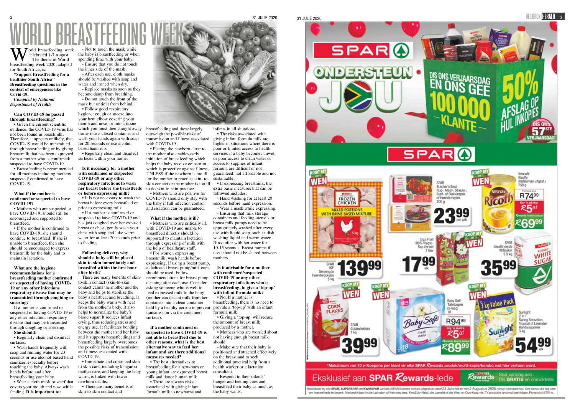World breastfeeding week breastfeeding week 2020, adapted celebrated 1-7 August. The theme of World for South Africa, is:

**"Support Breastfeeding for a healthier South Africa" Breastfeeding questions in the context of emergencies like Covid-19.**

*Compiled by National Department of Health*

### **Can COVID-19 be passed through breastfeeding?**

• Given the current scientific evidence, the COVID-19 virus has not been found in breastmilk. Therefore, it appears unlikely, that COVID-19 would be transmitted through breastfeeding or by giving breastmilk that has been expressed from a mother who is confirmed/ suspected to have COVID-19.

• If the mother is confirmed to have COVID-19, she should continue to breastfeed. If she is unable to breastfeed, then she should be encouraged to express breastmilk for the baby and to maintain lactation.

• Breastfeeding is recommended for all mothers including mothers suspected/ confirmed to have COVID-19.

### **What if the mother is confirmed or suspected to have COVID-19?**

• Mothers who are suspected to have COVID-19, should still be encouraged and supported to breastfeed.



mask but untie it from behind. • Follow good respiratory

**What are the hygiene recommendations for a breastfeeding mother confirmed or suspected of having COVID-19 or any other infections respiratory disease that may be transmitted through coughing or sneezing?**

• It is not necessary to wash the breast before every breastfeed or prior to expressing milk.

If a mother is confirmed or suspected of having COVID-19 or any other infections respiratory disease that may be transmitted through coughing or sneezing. **She should:**

• Regularly clean and disinfect surfaces.

• Wash hands frequently with soap and running water for 20 seconds or use alcohol-based hand sanitizer, especially before touching the baby. Always wash hands before and after breastfeeding your baby.

• Wear a cloth mask or scarf that covers your mouth and nose while feeding. **It is important to:**

- Not to touch the mask while the baby is breastfeeding or when spending time with your baby. - Ensure that you do not touch

the inner side of the mask. - After each use, cloth masks should be washed with soap and

water and ironed when dry. - Replace masks as soon as they

> • Placing the newborn close to the mother also enables early initiation of breastfeeding which helps the baby receive colostrum, which is protective against illness, UNLESS if the newborn is too ill for the mother to practice skin- toskin contact or the mother is too ill to do skin-to-skin practice.

become damp from breathing. - Do not touch the front of the

> • Mothers who are positive for COVID-19 should only stay with the baby if full infection control and isolation can be guaranteed.

> • Mothers who are critically ill, with COVID-19 and unable to breastfeed directly should be supported to maintain lactation through expressing of milk with the help of healthcare staff.

hygiene: cough or sneeze into your bent elbow covering your mouth and nose, or into a tissue which you must then straight away throw into a closed container and wash your hands again with soap for 20 seconds or use alcoholbased hand rub.

• Regularly clean and disinfect surfaces within your home.

### **Is it necessary for a mother with confirmed or suspected COVID-19 or any other respiratory infections to wash her breast before she breastfeeds or before expressing milk?**

• If a mother is confirmed or suspected to have COVID-19 and has just coughed over her exposed breast or chest, gently wash your chest with soap and luke warm water for at least 20 seconds prior to feeding.

### **Following delivery, why should a baby still be placed skin-to-skin immediately and breastfed within the first hour after birth?**

There are many benefits of skinto-skin contact (skin-to-skin contact calms the mother and the baby and helps to stabilize the baby's heartbeat and breathing. It keeps the baby warm with heat from the mother's body. It also helps to normalize the baby's blood sugar. It reduces infant crying, thus reducing stress and energy use. It facilitates bonding between the mother and her baby and it supports breastfeeding) and breastfeeding largely overcomes the possible risks of transmission and illness associated with COVID-19.

• Immediate and continued skinto-skin care, including kangaroo mother care, and keeping the baby warm, is linked with fewer newborn deaths.

• There are many benefits of skin-to-skin contact and

breastfeeding and these largely outweigh the possible risks of transmission and illness associated with COVID-19.

### **What if the mother is ill?**

• For women expressing breastmilk, wash hands before expressing. If using a breast pump, a dedicated breast pump/milk cups should be used. Follow recommendations for breast pump cleaning after each use. Consider asking someone who is well to feed expressed milk to the baby (mother can decant milk from her container into a clean container held by a healthy person to prevent transmission via the containers surface).

**If a mother confirmed or suspected to have COVID-19 is not able to breastfeed due to other reasons, what is the best alternative way to feed her infant and are there additional measures needed?**

• The best alternatives to breastfeeding for a new-born or young infant are expressed breast milk and donor human milk

• There are always risks associated with giving infant formula milk to newborns and

### infants in all situations.

• The risks associated with giving infant formula milk are higher in situations where there is poor or limited access to health services if a baby becomes unwell or poor access to clean water or access to supplies of infant formula are difficult or not guaranteed, not affordable and not sustainable.

• If expressing breastmilk, the extra basic measures that can be followed includes:

- Hand washing for at least 20 seconds before hand expression.

- Wear a mask while expressing. - Ensuring that milk storage containers and feeding utensils or breast milk pumps need to be appropriately washed after every use with liquid soap, such as dish washing liquid and warm water. Rinse after with hot water for 10-15 seconds. Breast pumps if used should not be shared between mothers.

**Is it advisable for a mother with confirmed/suspected COVID-19 or any other respiratory infections who is breastfeeding, to give a 'top-up' with infant formula milk?**

• No. If a mother is breastfeeding, there is no need to provide a 'top-up' with an infant formula milk.

• Giving a 'top-up' will reduce the amount of breast milk produced by a mother.

• Mothers who are worried about not having enough breast milk should:

- Make sure that their baby is positioned and attached effectively on the breast and to seek additional practical help from a health worker or a lactation consultant.

- Respond to their infants' hunger and feeding cues and breastfeed their baby as much as the baby wants.

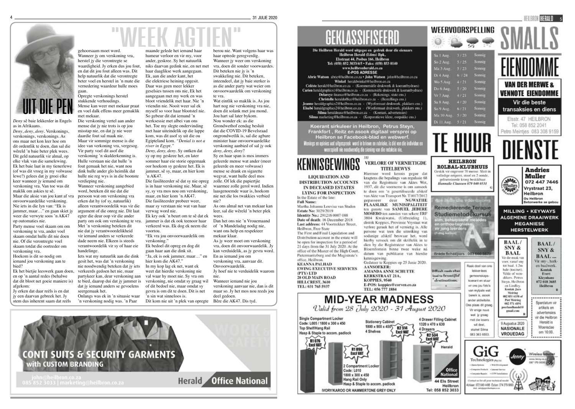# WOrd.<br>"Maande gelede het iemand haar berou nie. Want

*Deny* sê baie lekkerder in Engels as in Afrikaans.

*Deny*, *deny*, *deny*. Verskonings, verskonings, verskonings. As ons maar net kon leer hoe om dit ordentlik te doen, dan sal die wêreld 'n baie beter plek wees. Dit geld natuurlik vir almal, op elke vlak van die samelewing. Ek het baie laat in my tienerlewe (of was dit vroeg in my volwasse lewe?) gelees dat jy groei elke keer wanneer jy iemand om verskoning vra. Van toe was dit maklik om askies te sê. Maar die aksie van jou kant af vra onvoorwaardelike verskoning. Nie iets in die lyn van: "Ek is jammer, maar…" en gaan skiet jy weer die verwyte soos 'n AK47 op outomaties nie.

Party mense voel skaam om om verskoning te vra, ander voel skaam omdat hulle dit nie doen nie. Of die verontregte voel skaam totdat die oortreder om verskoning vra.

Hoekom is dit so nodig om iemand jou verskoning aan te bied?

Ek het bietjie leeswerk gaan doen, en op 'n aantal redes (behalwe dat dit bloot net goeie maniere is) afgekom:

Jy erken dat daar reëls is en dat jy een daarvan gebreek het. Jy stem dus inherent saam dat reëls

gehoorsaam moet word. Wanneer jy om verskoning vra, herstel jy die verontregte se waardigheid. Jy erken dus jou fout, en dat dit jou fout alleen was. Dit help natuurlik dat die verontregte beter voel en herstel in 'n mate die vernedering waardeur hulle moes gaan.

Opregte verskonings herstel stukkende verhoudings. Mense kan weer met mekaar praat en voel dalk effens meer gemaklik met mekaar.

Die verskoning vertel aan ander mense dat jy nie trots is op jou misstap nie, en dat jy nie weer daardie fout sal maak nie. Maar vir sommige mense is die idee van verkoning vra, vergesog. Vir party voel dit asof die verskoning 'n skulderkenning is. Hulle verstaan nie dat hulle 'n fout gemaak het nie, want nou dink hulle ander glo heimlik dat hulle nie reg wys is in die boonste verdieping nie.

Wanneer verskoning aangebied word, beteken dit nie dat die persoon wat om verskoning vra erken dat hy (of sy, natuurlik) alleen verantwoordelik was vir die argument of die onreg nie. Dit laat egter die deur oop vir die ander party om ook om verskoning te vra. Met 'n verskoning beteken dit nie dat jy verantwoordelikheid vir iemand anders se verkeerde dade neem nie. Elkeen is steeds verantwoordelik vir sy of haar eie handelinge.

Iets wat my natuurlik aan die dink gesit het, was dat 'n verskoning nie noodwendig beteken dat jy iets verkeerds gedoen het nie, maar partykeer kan, deur verskoning aan te bied, daarop dui dat jy jammer is dat jy iemand anders se gevoelens seergemaak het.

Onlangs was ek in 'n situasie waar 'n verskoning nodig was. 'n Paar

maande gelede het iemand haar humeur verloor en vir my, voor ander, geskree. Sy het natuurlik niks daarvan gedink nie, en net met haar daaglikse werk aangegaan. Ek, aan die ander kant, het die elektriese heining opgesit. Daar was geen meer lekker geselsies tussen ons nie, Ek het aangegaan met my werk en was bloot vriendelik met haar. Nie 'n vriendin nie. Nooit weer sal ek myself so voor haar blootstel nie. So gebeur dit dat iemand 'n werksessie met albei van ons het. Toe my slegte ondervinding met haar uiteindelik op die lappe kom, was dit asof sy uit die ou Egipteland kom. *"Denial is not a river in Egypt."* 

*Deny, deny, deny.* Sy ontken dat sy op my geskree het, en later sommer haar eie storie opgemaak oor hoekom sy geskree het. Ek is jammer, sê sy, maar, en hier kom 'n AK47.

Die fasiliteerder sê dat sy nie opreg is in haar verskoning nie. Maar, sê sy, sy vra mos nou om verskoning, maar, en hier kom 'n AK47. Die fasiliteerder probeer weer, maar sy verstaan nie wat van haar verwag word nie.

Ek kry ook 'n beurt om te sê dat ek jammer is dat ek ook teenoor haar verkeerd was. Ek dog ek neem die voortou.

"Ek vra jou onvoorwaardelik om verskoning." Ek bedoel dit opreg en dog dit

gaan haar aan die dink sit. "Ja, ek is ook jammer, maar…" en hier kom die AK47."



berou nie. Want volgens haar was haar optrede geregverdig. Wanneer jy weer om verskoning vra, doen dit sonder voorwaardes. Dit beteken nie jy is 'n swakkeling nie. Dit beteken, inteendeel, dat jy baie sterker is as die ander party wat weier om onvoorwaardelik om verskoning te vra.

Wat eintlik so maklik is. As jou hart nog nie verskoning vra nie, doen dit solank met jou mond. Jou hart sal later bykom. Nou wonder ek: as die Grondwethof eendag besluit dat die COVID-19 Bevelsraad ongrondwetlik is, sal die agbare minister haar onvoorwaardelike verskoning aanbied of sal jy ook *deny, deny, deny*?

In my kop lag ek net, want ek weet dat hierdie verskoning nie val waar hy moet nie. Sy vra om verskoning, nie omdat sy graag wil of dit bedoel nie, maar omdat sy gevra is om dit te doen. Dit is net 'n sin wat sinneloos is. Dit kom nie uit 'n plek van opregte Bêre die AK47. Dis tyd.

Sy en haar span is mos immers geleerde mense wat ander (meer geleerde en meer volwasse) mense se drank en sigarette wegvat, want hulle deel mos zolle. Of lek die papiertjie waarmee zolle gerol word. Indien laasgenoemde waar is, hoekom nie net die los twakkies verbied nie?

As ons almal net van mekaar kan leer, sal die wêreld 'n beter plek wees.

Dan het ons nie 'n Vrouemaand of 'n Mandeladag nodig nie, want ons help en respekteer mekaar klaar.

As jy weer moet om verskoning vra, doen dit onvoorwaardelik. Jy kan verduidelik, as jy gevra word. En as iemand jou om verskoning vra, aanvaar dit. Onvoorwaardelik.

Jy hoef nie te verduidelik waarom nie. Wanneer iemand nie jou verskoning aanvaar nie, dan is dit maar so. Jy het mos nou reeds jou

deel gedoen.



Heilbron Herald (Edms) Bpk. Elsstraat 44, Posbus 166, Heilbron<br>Tel: (058) 852 3033/4/5 . Faks: (058) 853 0140 www.heilbronherald.co.za

Winkel heraldwinkel@heilbron.co.za

**LIQUIDATION AND** IN DECEASED ESTATES **LYING FOR INSPECTION** 

KERKSTRAAT 21A. **KOPPIES, 9540** 



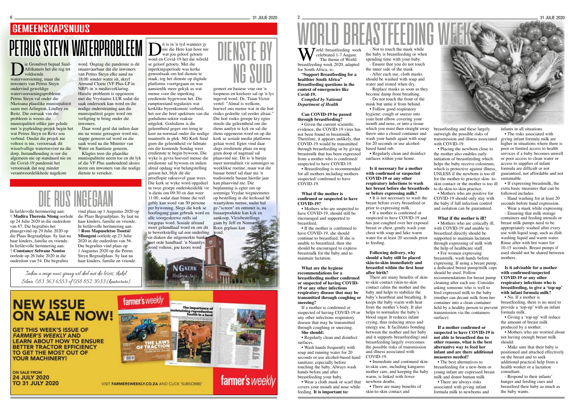6 31 JULIE 2020

### **GEMEENSKAPSNUUS PETRUS STEYN WATERPROBLEEM** Dit is in 'n tyd wanneer jy<br> **PETRUS STEYN WATERPROBLEEM** Die die Here kan hoor nie<br>
is die Die Grondwet bepaal Suid-<br>
WORD DIENSTEYN WATERPROBLEEM DIE EM Word en Covid-19 het die wêreld<br>
se ge



### **D**it is in 'n tyd wanneer jy<br>
wat jou geloof getoets<br>
word en Covid-19 het die wêreld nie die Here kan hoor nie wat jou geloof getoets se geloof getoets. Met die inperkingsperiode was kerke genoodsaak om hul dienste te staak, tog het dienste op digitale platforms voortgegaan en was aansienlik meer gekyk as wat mense voor die inperking

eredienste bygewoon het. Die ramptoestand regulasies wat kerklike byeenkomste verbied, het oor die breë spektrum van die godsdiens-sektor reaksie uitgelok. Godsdiens is die geleentheid gegee om terug te keer na normaal onder die nodige maatreëls in plek. NG Kerk Suid geen die geleentheid vir lidmate om die komende Sondag weer eredienste te begin bywoon. Die wyke is gevra hoeveel mense die eredienste sal bywoon en indien almal opdaag wat belangstelling getoon het, blyk dit die proeflopie suksesvol gaan wees. Die kerk se wyke word opgedeel in twee groepe onderskeidelik vir 'n diens om 09:30 en dan weer 11:00, sodat daar binne die reël gebly kan word van 50 persone per bywoning. Slegs die kerk se hoofingang gaan gebruik word en alle voorgeskrewe reëls sal toegepas word. Sosiale afstand en diaken die uitgemerkte banke met orde handhaaf. 'n Naamlys word voltooi, jou koors word

Die Grondwet bepaal Suid-<br>Afrikaners het die reg tot<br>watervoorsiening, maar die Afrikaners het die reg tot voldoende watervoorsiening, maar die inwoners van Petrus Steyn ondervind geweldige watervoorsieningsprobleme. Petrus Steyn val onder die Nketoana plaaslike munisipaliteit saam met Arlington, Lindley en Reitz. Die oorsaak van die probleem is weens die munisipaliteit etlike jare gelede met 'n pypleiding-projek begin het wat Petrus Steyn en Reitz sou verbind. Omdat die projek nie voltooi is nie, veroorsaak dit wisselvallige watertoevoer na die dorp. Instandhouding is oor die algemeen nie op standaard nie en die Covid-19 pandemie het veroorsaak dat nog minder verantwoordelikhede nagekom

### moet gehandhaaf word en om dit te bewerkstellig sal een ouderling word.

**NGKERK** 

gemeet en basiese vrae oor 'n loopneus en keelseer sal op 'n lys ingevul word. Ds. Tiaan Victor vertel: "Almal is welkom, hoewel ons mense wat in die hoë risiko gedeelte val eerder afraai." Die hoë risiko groepe kry egter steeds die geleentheid om die diens aanlyn te kyk en sal die diens opgeneem word en op die kerk se sosiale media platforms gelaai word. Egter vind daar slegs eredienste plaas en nog geen doop of nagmaal sal plaasvind nie. Dit is 'n bietjie meer normaliteit vir sommiges se weeklikse roetine, maar wat die basaar betref sal daar nie 'n tradisionele basaar hierdie jaar kan plaasvind nie. Die beplanning is egter om op sommige Vrydae wegneemetes op bestelling in die kerksaal hê waartydens mense, nadat hul ge-"screen" en ontsmet is, na basaarprodukte kan kyk en aankoop. Vleisbestellings gaan by Jeff en Nonna Roos geplaas kan

farmer's weekly

### 2 31 JULIE 2020 WORLD BREASTFEEDING WEEK

• If the mother is confirmed to have COVID-19, she should continue to breastfeed. If she is unable to breastfeed, then she should be encouraged to express breastmilk for the baby and to maintain lactation.

word. Ongeag die pandemie is dit onaanvaarbaar dat die inwoners van Petrus Steyn elke aand na 18:00 sonder water sit, skryf Armand Cloete (VF Plus-LP in NRP) in 'n mediaverklaring. Hierdie probleem is opgeneem met die Vrystaatse LUR sodat die saak ondersoek kan word en die nodige ondersteuning aan die munisipaliteit gegee word om verligting te bring onder die inwoners.

Daar word gesê dat indien daar nie na wense gereageer word nie, stappe geneem sal word en die saak word na die Minister van Water en Sanitasie geneem.

Klagtes teen die plaaslike munisipaliteite neem toe en dit lyk of die VF Plus aanhoudend aksies neem om inwoners van die nodige dienste te verseker.

> • It is not necessary to wash the breast before every breastfeed or prior to expressing milk. • If a mother is confirmed or

In liefdevolle herinnering aan: † **Madira Theresia Ntong** oorlede op 24 Julie 2020 in die ouderdom van 67. Die begrafnis het plaasgevind op 29 Julie 2020 op die Plaas Begraafplaas. Sy laat na haar kinders, familie en vriende. In liefdevolle herinnering aan: † **Constance Selwane Nontso** oorlede op 26 Julie 2020 in die ouderdom van 54. Die begrafnis

DIE RUS INGEGAAN

vind plaas op 1 Augustus 2020 op die Plaas Begraafplaas. Sy laat na haar kinders, familie en vriende. In liefdevolle herinnering aan: † **Ross Mapuseletso Tsoetsi/ Mlongeni** oorlede op 23 Julie 2020 in die ouderdom van 56. Die begrafnis vind plaas op 1 Augustus 2020 op die Petrus Steyn Begraafplaas. Sy laat na haar kinders, familie en vriende.

Indien u enige nuus graag wil deel met die lesers, skakel Silma 083 363 6553 of 058 852 3033 (kantoorure).

### **NEW ISSUE ON SALE NOW!**

**GET THIS WEEK'S ISSUE OF FARMER'S WEEKLY AND LEARN ABOUT HOW TO ENSURE BETTER TRACTOR EFFICIENCY** TO GET THE MOST OUT OF YOUR MACHINERY!

**ON SALE FROM 24 JULY 2020 TO 31 JULY 2020** 



VISIT FARMERSWEEKLY.CO.ZA AND CLICK 'SUBSCRIBE'

• Mothers who are positive for COVID-19 should only stay with the baby if full infection control and isolation can be guaranteed.

World breastfeeding week breastfeeding week 2020, adapted celebrated 1-7 August. The theme of World for South Africa, is:

> • Mothers who are critically ill, with COVID-19 and unable to breastfeed directly should be supported to maintain lactation through expressing of milk with the help of healthcare staff.

**"Support Breastfeeding for a healthier South Africa" Breastfeeding questions in the context of emergencies like Covid-19.**

*Compiled by National Department of Health*

### **Can COVID-19 be passed through breastfeeding?**

• Given the current scientific evidence, the COVID-19 virus has not been found in breastmilk. Therefore, it appears unlikely, that COVID-19 would be transmitted through breastfeeding or by giving breastmilk that has been expressed from a mother who is confirmed/ suspected to have COVID-19.

• Breastfeeding is recommended for all mothers including mothers suspected/ confirmed to have COVID-19.

• The risks associated with giving infant formula milk are higher in situations where there is poor or limited access to health services if a baby becomes unwell or poor access to clean water or access to supplies of infant formula are difficult or not guaranteed, not affordable and not sustainable.

### **What if the mother is confirmed or suspected to have COVID-19?**

• Mothers who are suspected to have COVID-19, should still be encouraged and supported to breastfeed.

### **What are the hygiene recommendations for a breastfeeding mother confirmed or suspected of having COVID-19 or any other infections respiratory disease that may be transmitted through coughing or sneezing?**

If a mother is confirmed or suspected of having COVID-19 or any other infections respiratory disease that may be transmitted through coughing or sneezing. **She should:**

• Regularly clean and disinfect surfaces.

• Wash hands frequently with soap and running water for 20 seconds or use alcohol-based hand sanitizer, especially before touching the baby. Always wash hands before and after breastfeeding your baby.

• Wear a cloth mask or scarf that covers your mouth and nose while feeding. **It is important to:**

the baby is breastfeeding or when spending time with your baby. the inner side of the mask. should be washed with soap and water and ironed when dry. become damp from breathing. mask but untie it from behind. hygiene: cough or sneeze into your bent elbow covering your mouth and nose, or into a tissue which you must then straight away throw into a closed container and wash your hands again with soap for 20 seconds or use alcohol-

based hand rub.

• Regularly clean and disinfect surfaces within your home.

**Is it necessary for a mother with confirmed or suspected COVID-19 or any other respiratory infections to wash her breast before she breastfeeds or before expressing milk?**

- Not to touch the mask while - Ensure that you do not touch - After each use, cloth masks - Replace masks as soon as they - Do not touch the front of the • Follow good respiratory breastfeeding and these largely outweigh the possible risks of transmission and illness associated with COVID-19.

suspected to have COVID-19 and has just coughed over her exposed breast or chest, gently wash your chest with soap and luke warm water for at least 20 seconds prior to feeding.

### **Following delivery, why should a baby still be placed skin-to-skin immediately and breastfed within the first hour after birth?**

There are many benefits of skin-



to-skin contact (skin-to-skin contact calms the mother and the baby and helps to stabilize the baby's heartbeat and breathing. It keeps the baby warm with heat from the mother's body. It also helps to normalize the baby's blood sugar. It reduces infant crying, thus reducing stress and energy use. It facilitates bonding between the mother and her baby and it supports breastfeeding) and breastfeeding largely overcomes the possible risks of transmission and illness associated with COVID-19.

• Immediate and continued skinto-skin care, including kangaroo mother care, and keeping the baby warm, is linked with fewer newborn deaths.

• There are many benefits of skin-to-skin contact and

• Placing the newborn close to the mother also enables early initiation of breastfeeding which helps the baby receive colostrum, which is protective against illness, UNLESS if the newborn is too ill for the mother to practice skin- toskin contact or the mother is too ill to do skin-to-skin practice.

### **What if the mother is ill?**

• For women expressing breastmilk, wash hands before expressing. If using a breast pump, a dedicated breast pump/milk cups should be used. Follow recommendations for breast pump cleaning after each use. Consider asking someone who is well to feed expressed milk to the baby (mother can decant milk from her container into a clean container held by a healthy person to prevent provide a 'top-up' with an infant transmission via the containers surface).

**If a mother confirmed or suspected to have COVID-19 is not able to breastfeed due to other reasons, what is the best alternative way to feed her infant and are there additional measures needed?**

• The best alternatives to breastfeeding for a new-born or young infant are expressed breast milk and donor human milk • There are always risks

associated with giving infant formula milk to newborns and infants in all situations.

• If expressing breastmilk, the extra basic measures that can be followed includes:

- Hand washing for at least 20 seconds before hand expression.

- Wear a mask while expressing.

- Ensuring that milk storage containers and feeding utensils or breast milk pumps need to be appropriately washed after every use with liquid soap, such as dish washing liquid and warm water. Rinse after with hot water for 10-15 seconds. Breast pumps if used should not be shared between mothers.

### **Is it advisable for a mother with confirmed/suspected COVID-19 or any other respiratory infections who is breastfeeding, to give a 'top-up' with infant formula milk?**

• No. If a mother is

breastfeeding, there is no need to formula milk.

• Giving a 'top-up' will reduce the amount of breast milk produced by a mother.

• Mothers who are worried about not having enough breast milk should:

- Make sure that their baby is positioned and attached effectively on the breast and to seek additional practical help from a health worker or a lactation consultant.

- Respond to their infants' hunger and feeding cues and breastfeed their baby as much as the baby wants.